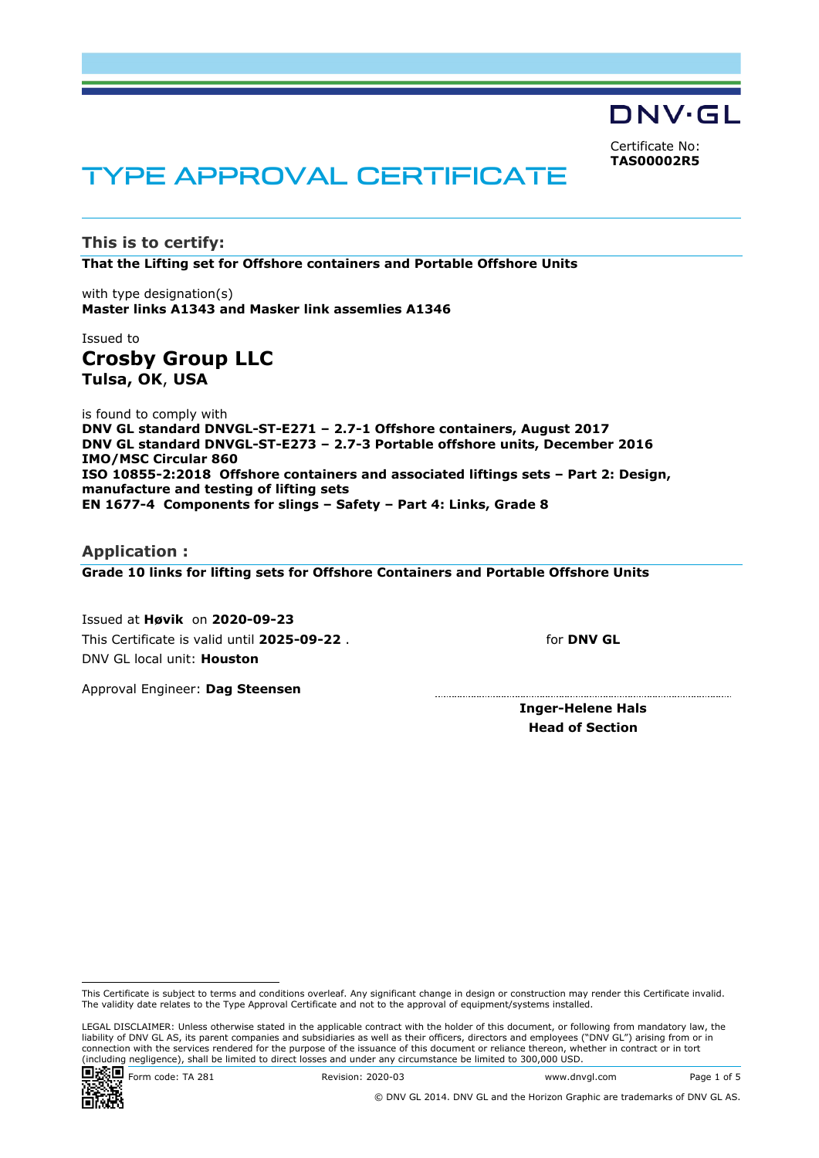DNV·GL Certificate No: **TAS00002R5**

# TYPE APPROVAL CERTIFICATE

**This is to certify: That the Lifting set for Offshore containers and Portable Offshore Units**

with type designation(s) **Master links A1343 and Masker link assemlies A1346**

## Issued to **Crosby Group LLC Tulsa, OK**, **USA**

is found to comply with **DNV GL standard DNVGL-ST-E271 – 2.7-1 Offshore containers, August 2017 DNV GL standard DNVGL-ST-E273 – 2.7-3 Portable offshore units, December 2016 IMO/MSC Circular 860 ISO 10855-2:2018 Offshore containers and associated liftings sets – Part 2: Design, manufacture and testing of lifting sets EN 1677-4 Components for slings – Safety – Part 4: Links, Grade 8**

#### **Application :**

**Grade 10 links for lifting sets for Offshore Containers and Portable Offshore Units**

Issued at **Høvik** on **2020-09-23** This Certificate is valid until **2025-09-22** . DNV GL local unit: **Houston**

for **DNV GL**

Approval Engineer: **Dag Steensen**

**Inger-Helene Hals Head of Section**

LEGAL DISCLAIMER: Unless otherwise stated in the applicable contract with the holder of this document, or following from mandatory law, the liability of DNV GL AS, its parent companies and subsidiaries as well as their officers, directors and employees ("DNV GL") arising from or in connection with the services rendered for the purpose of the issuance of this document or reliance thereon, whether in contract or in tort (including negligence), shall be limited to direct losses and under any circumstance be limited to 300,000 USD.



This Certificate is subject to terms and conditions overleaf. Any significant change in design or construction may render this Certificate invalid. The validity date relates to the Type Approval Certificate and not to the approval of equipment/systems installed.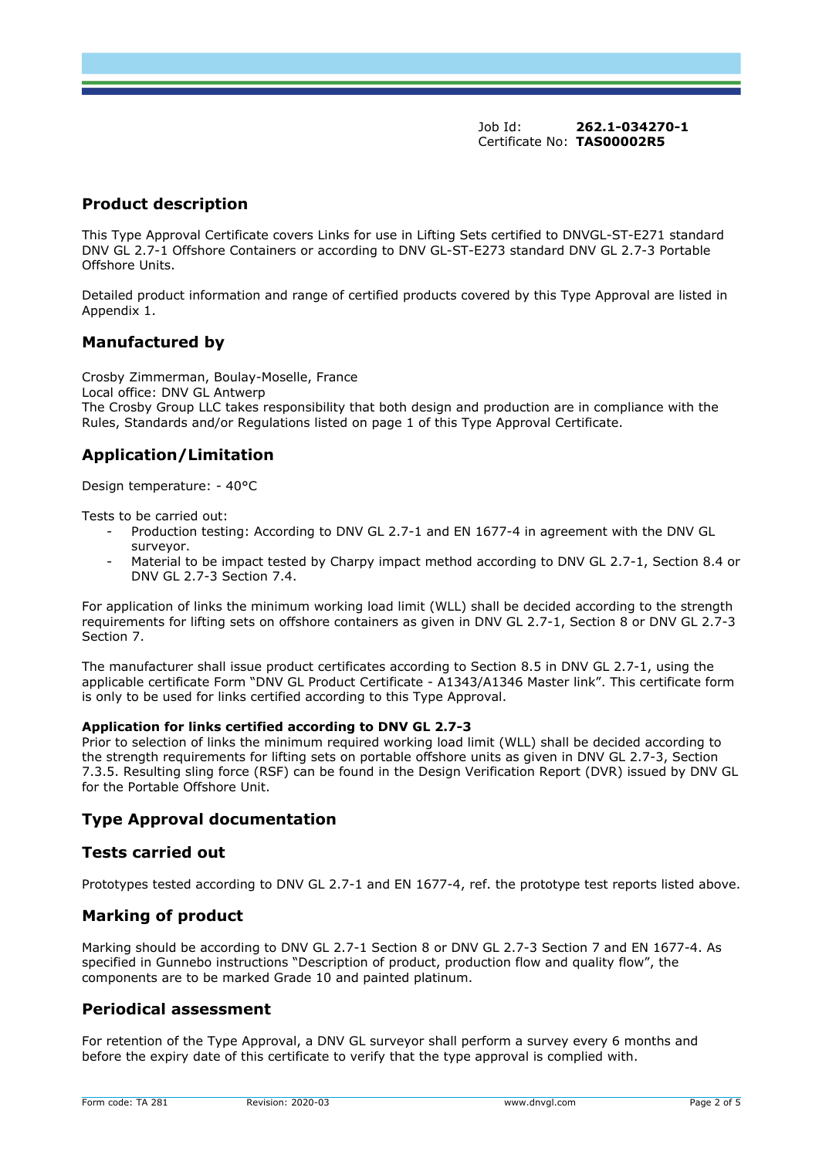## **Product description**

This Type Approval Certificate covers Links for use in Lifting Sets certified to DNVGL-ST-E271 standard DNV GL 2.7-1 Offshore Containers or according to DNV GL-ST-E273 standard DNV GL 2.7-3 Portable Offshore Units.

Detailed product information and range of certified products covered by this Type Approval are listed in Appendix 1.

## **Manufactured by**

Crosby Zimmerman, Boulay-Moselle, France Local office: DNV GL Antwerp The Crosby Group LLC takes responsibility that both design and production are in compliance with the Rules, Standards and/or Regulations listed on page 1 of this Type Approval Certificate.

# **Application/Limitation**

Design temperature: - 40°C

Tests to be carried out:

- Production testing: According to DNV GL 2.7-1 and EN 1677-4 in agreement with the DNV GL surveyor.
- Material to be impact tested by Charpy impact method according to DNV GL 2.7-1, Section 8.4 or DNV GL 2.7-3 Section 7.4.

For application of links the minimum working load limit (WLL) shall be decided according to the strength requirements for lifting sets on offshore containers as given in DNV GL 2.7-1, Section 8 or DNV GL 2.7-3 Section 7.

The manufacturer shall issue product certificates according to Section 8.5 in DNV GL 2.7-1, using the applicable certificate Form "DNV GL Product Certificate - A1343/A1346 Master link". This certificate form is only to be used for links certified according to this Type Approval.

#### **Application for links certified according to DNV GL 2.7-3**

Prior to selection of links the minimum required working load limit (WLL) shall be decided according to the strength requirements for lifting sets on portable offshore units as given in DNV GL 2.7-3, Section 7.3.5. Resulting sling force (RSF) can be found in the Design Verification Report (DVR) issued by DNV GL for the Portable Offshore Unit.

# **Type Approval documentation**

## **Tests carried out**

Prototypes tested according to DNV GL 2.7-1 and EN 1677-4, ref. the prototype test reports listed above.

## **Marking of product**

Marking should be according to DNV GL 2.7-1 Section 8 or DNV GL 2.7-3 Section 7 and EN 1677-4. As specified in Gunnebo instructions "Description of product, production flow and quality flow", the components are to be marked Grade 10 and painted platinum.

## **Periodical assessment**

For retention of the Type Approval, a DNV GL surveyor shall perform a survey every 6 months and before the expiry date of this certificate to verify that the type approval is complied with.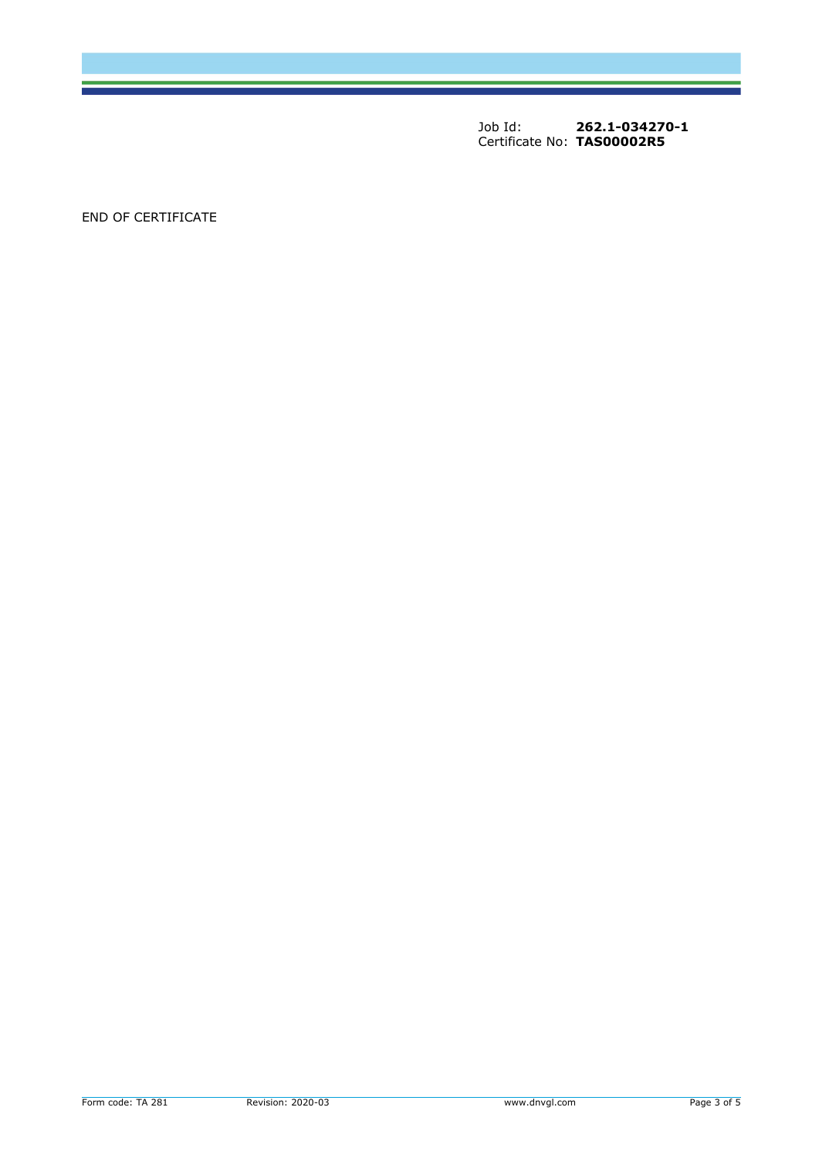END OF CERTIFICATE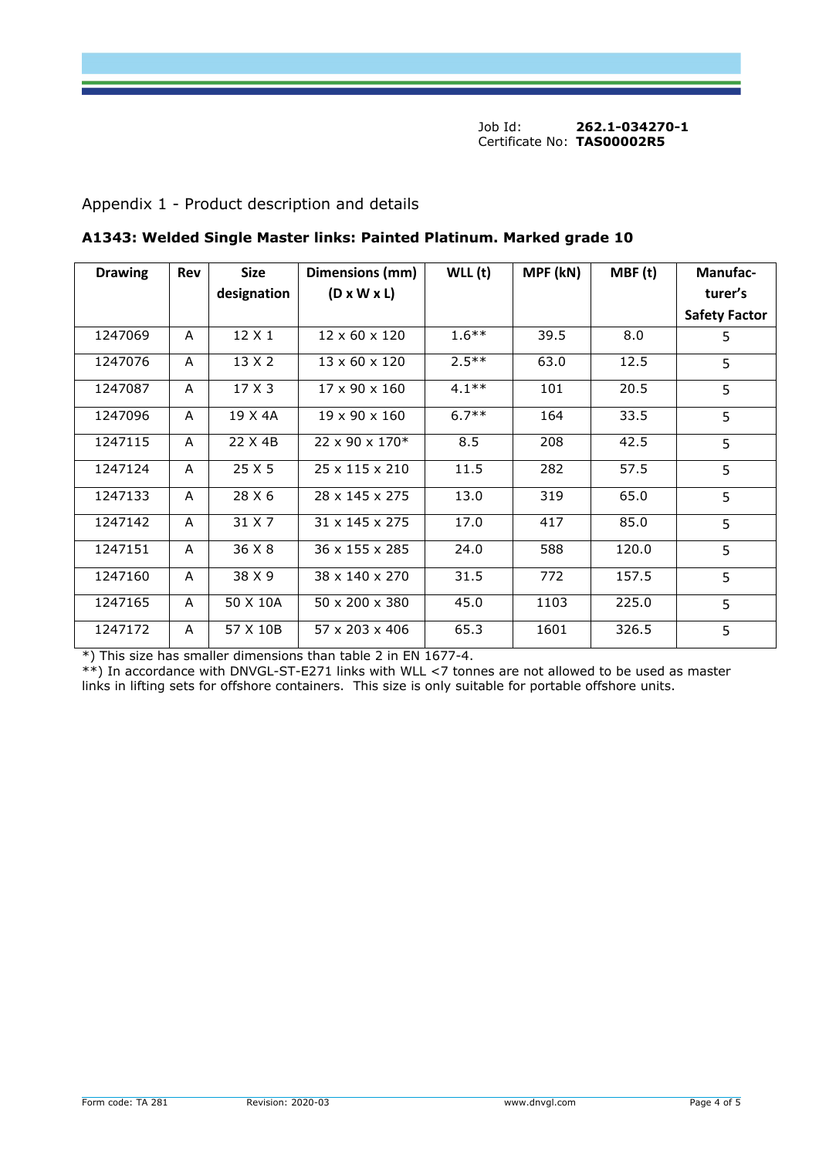# Appendix 1 - Product description and details

| <b>Drawing</b> | <b>Size</b><br><b>Rev</b> |               | Dimensions (mm)            | $WLL$ (t) | MPF (kN) | MBF(t) | <b>Manufac-</b>      |
|----------------|---------------------------|---------------|----------------------------|-----------|----------|--------|----------------------|
|                |                           | designation   | $(D \times W \times L)$    |           |          |        | turer's              |
|                |                           |               |                            |           |          |        | <b>Safety Factor</b> |
| 1247069        | A                         | 12 X 1        | $12 \times 60 \times 120$  | $1.6***$  | 39.5     | 8.0    | 5                    |
| 1247076        | A                         | $13 \times 2$ | $13 \times 60 \times 120$  | $2.5***$  | 63.0     | 12.5   | 5                    |
| 1247087        | A                         | 17 X 3        | 17 x 90 x 160              | $4.1**$   | 101      | 20.5   | 5                    |
| 1247096        | A                         | 19 X 4A       | $19 \times 90 \times 160$  | $6.7**$   | 164      | 33.5   | 5                    |
| 1247115        | A                         | 22 X 4B       | $22 \times 90 \times 170*$ | 8.5       | 208      | 42.5   | 5                    |
| 1247124        | A                         | 25 X 5        | $25 \times 115 \times 210$ | 11.5      | 282      | 57.5   | 5                    |
| 1247133        | A                         | 28 X 6        | 28 x 145 x 275             | 13.0      | 319      | 65.0   | 5                    |
| 1247142        | A                         | 31 X 7        | 31 x 145 x 275             | 17.0      | 417      | 85.0   | 5                    |
| 1247151        | A                         | 36 X 8        | 36 x 155 x 285             | 24.0      | 588      | 120.0  | 5                    |
| 1247160        | A                         | 38 X 9        | 38 x 140 x 270             | 31.5      | 772      | 157.5  | 5                    |
| 1247165        | A                         | 50 X 10A      | $50 \times 200 \times 380$ | 45.0      | 1103     | 225.0  | 5                    |
| 1247172        | A                         | 57 X 10B      | $57 \times 203 \times 406$ | 65.3      | 1601     | 326.5  | 5                    |

**A1343: Welded Single Master links: Painted Platinum. Marked grade 10**

\*) This size has smaller dimensions than table 2 in EN 1677-4.

\*\*) In accordance with DNVGL-ST-E271 links with WLL <7 tonnes are not allowed to be used as master links in lifting sets for offshore containers. This size is only suitable for portable offshore units.